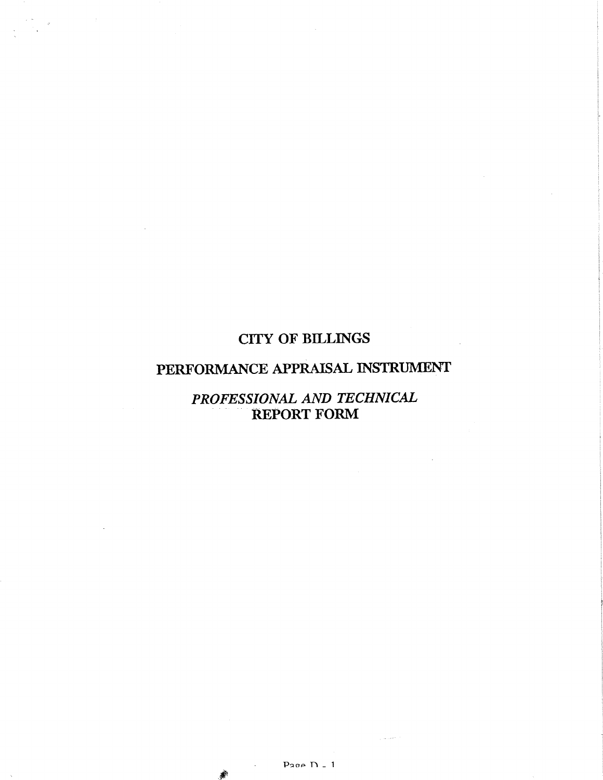# CITY OF BILLINGS

# PERFORMANCE APPRAISAL INSTRUMENT

# PROFESSIONAL AND TECHNICAL REPORT FORM

#

J.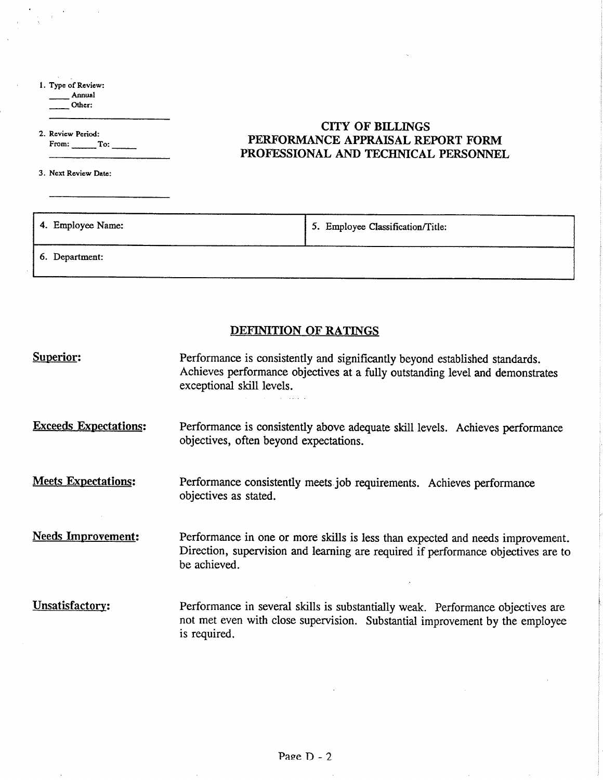l. Type of Revicw:

 $\alpha$ 

 $\sim$ 

\_ Annual  $\overline{\phantom{a}}$  Other:

2. Revicw Pcriod: From: To:  $\overline{\phantom{0}}$ 

 $\sim$   $\sim$ 

3. Next Review Date:

 $\overline{\phantom{a}}$ 

 $\overline{a}$ 

## CITY OF BILLINGS PERFORMANCE APPRAISAL REPORT FORM PROFESSIONAL AND TECHNICAL PERSONNEL

| 4. Employee Name: | 5. Employee Classification/Title: |
|-------------------|-----------------------------------|
| 6. Department:    |                                   |

## DEFINTTION OF RATINGS

| <b>Superior:</b>             | Performance is consistently and significantly beyond established standards.<br>Achieves performance objectives at a fully outstanding level and demonstrates<br>exceptional skill levels. |
|------------------------------|-------------------------------------------------------------------------------------------------------------------------------------------------------------------------------------------|
| <b>Exceeds Expectations:</b> | Performance is consistently above adequate skill levels. Achieves performance<br>objectives, often beyond expectations.                                                                   |
| <b>Meets Expectations:</b>   | Performance consistently meets job requirements. Achieves performance<br>objectives as stated.                                                                                            |
| <b>Needs Improvement:</b>    | Performance in one or more skills is less than expected and needs improvement.<br>Direction, supervision and learning are required if performance objectives are to<br>be achieved.       |
| Unsatisfactory:              | Performance in several skills is substantially weak. Performance objectives are<br>not met even with close supervision. Substantial improvement by the employee<br>is required.           |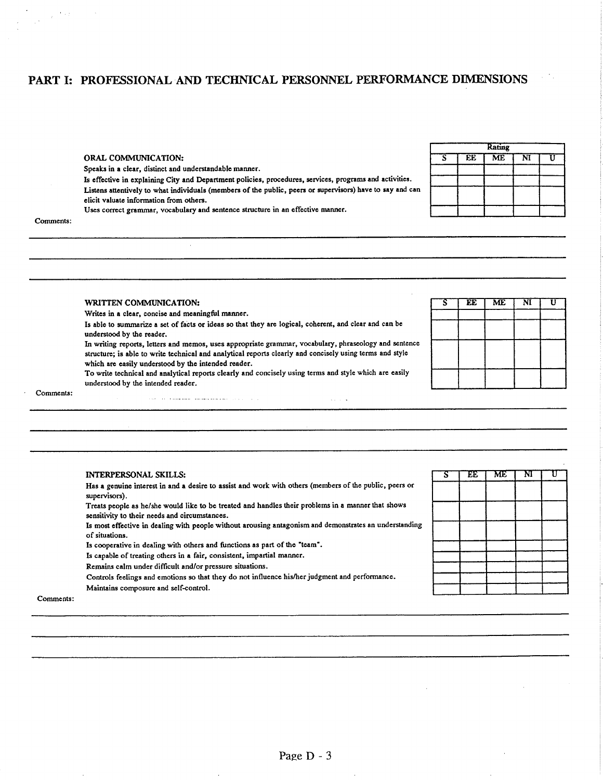### PART I: PROFESSIONAL AND TECHNICAL PERSONNEL PERFORMANCE DIMENSIONS

### ORAL COMMUNICATION:

Speaks in a clear, distinct and understandable manner.

Is effective in explaining City and Department policies, procedures, services, programs and activities. Listens attentively to what individuals (members of the public, peers or supervisors) have to say and can elicit valuate information from others.

Uses correct grammar, vocabulary and sentence structure in an effective manner.

#### Comments:

 $\frac{1}{\sqrt{2}}\left(\frac{1}{2}\right)^{2}+\frac{1}{2}\left(\frac{1}{2}\right)^{2}$ 

| Katıng |    |    |                         |   |  |  |
|--------|----|----|-------------------------|---|--|--|
| Ŝ      | EE | ME | $\overline{\mathbf{M}}$ | Ū |  |  |
|        |    |    |                         |   |  |  |
|        |    |    |                         |   |  |  |
|        |    |    |                         |   |  |  |
|        |    |    |                         |   |  |  |

#### **WRITTEN COMMUNICATION:**

Writes in a clear, concise and meaningful manner.

Is able to summarize a set of facts or ideas so that they are logical, coherent, and clear and can be understood by the reader.

In writing reports, letters and memos, uses appropriate grammar, vocabulary, phraseology and sentence structure; is able to write technical and analytical reports clearly and concisely using terms and style which are easily understood by the intended reader.

To write technical and analytical reports clearly and concisely using terms and style which are easily understood by the intended reader.

 $\alpha$  ,  $\beta$  ,  $\alpha$ 

 $\overline{\text{N}}$ 

 $\overline{\mathtt{U}}$ 

 $\overline{\text{ME}}$ 

EE

ς

#### Comments:

#### **INTERPERSONAL SKILLS:**

Has a genuine interest in and a desire to assist and work with others (members of the public, peers or supervisors).

Treats people as he/she would like to be treated and handles their problems in a manner that shows sensitivity to their needs and circumstances.

Is most effective in dealing with people without arousing antagonism and demonstrates an understanding of situations.

Is cooperative in dealing with others and functions as part of the "team".

المناور والمناول وستستخذ وستفسخ والمنافرة

Is capable of treating others in a fair, consistent, impartial manner.

Remains calm under difficult and/or pressure situations.

Controls feelings and emotions so that they do not influence his/her judgment and performance.

Maintains composure and self-control.

| ऽ | EE T | ME <sup>T</sup> | NI | П |
|---|------|-----------------|----|---|
|   |      |                 |    |   |
|   |      |                 |    |   |
|   |      |                 |    |   |
|   |      |                 |    |   |
|   |      |                 |    |   |
|   |      |                 |    |   |
|   |      |                 |    |   |

Comments: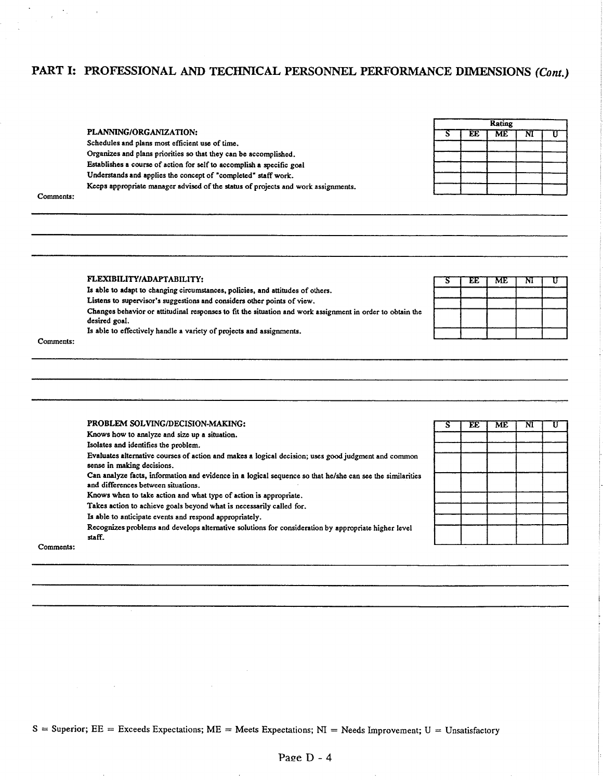# PART I: PROFESSIONAL AND TECHNICAL PERSONNEL PERFORMANCE DIMENSIONS (Cont.)

|                                                                                   |  | <b>Rating</b> |  |
|-----------------------------------------------------------------------------------|--|---------------|--|
| PLANNING/ORGANIZATION:                                                            |  | ME            |  |
| Schedules and plans most efficient use of time.                                   |  |               |  |
| Organizes and plans priorities so that they can be accomplished.                  |  |               |  |
| Establishes a course of action for self to accomplish a specific goal             |  |               |  |
| Understands and applies the concept of "completed" staff work.                    |  |               |  |
| Keeps appropriate manager advised of the status of projects and work assignments. |  |               |  |
| Comments:                                                                         |  |               |  |

3

EE.

**ME** 

 $\mathbf{M}$ 

 $\mathtt{U}$ 

#### FLEXIBILITY/ADAPTABILITY:

 $\cdot$ 

Is able to adapt to changing circumstances, policies, and attitudes of others.

Listens to supervisor's suggestions and considers other points of view.

Changes behavior or attitudinal responses to fit the situation and work assignment in order to obtain the desired goal.

Is able to effectively handle a variety of projects and assignments.

Comments:

 $\Delta_{\rm{th}}$ 

 $\bar{\rm{a}}$ 

|           | PROBLEM SOLVING/DECISION-MAKING:                                                                                                                 | EE | ME | NI |  |
|-----------|--------------------------------------------------------------------------------------------------------------------------------------------------|----|----|----|--|
|           | Knows how to analyze and size up a situation.                                                                                                    |    |    |    |  |
|           | Isolates and identifies the problem.                                                                                                             |    |    |    |  |
|           | Evaluates alternative courses of action and makes a logical decision; uses good judgment and common<br>sense in making decisions.                |    |    |    |  |
|           | Can analyze facts, information and evidence in a logical sequence so that he/she can see the similarities<br>and differences between situations. |    |    |    |  |
|           | Knows when to take action and what type of action is appropriate.                                                                                |    |    |    |  |
|           | Takes action to achieve goals beyond what is necessarily called for.                                                                             |    |    |    |  |
|           | Is able to anticipate events and respond appropriately.                                                                                          |    |    |    |  |
|           | Recognizes problems and develops alternative solutions for consideration by appropriate higher level<br>staff.                                   |    |    |    |  |
| Comments: |                                                                                                                                                  |    |    |    |  |

S = Superior; EE = Exceeds Expectations; ME = Meets Expectations; NI = Needs Improvement; U = Unsatisfactory

 $\sim 10$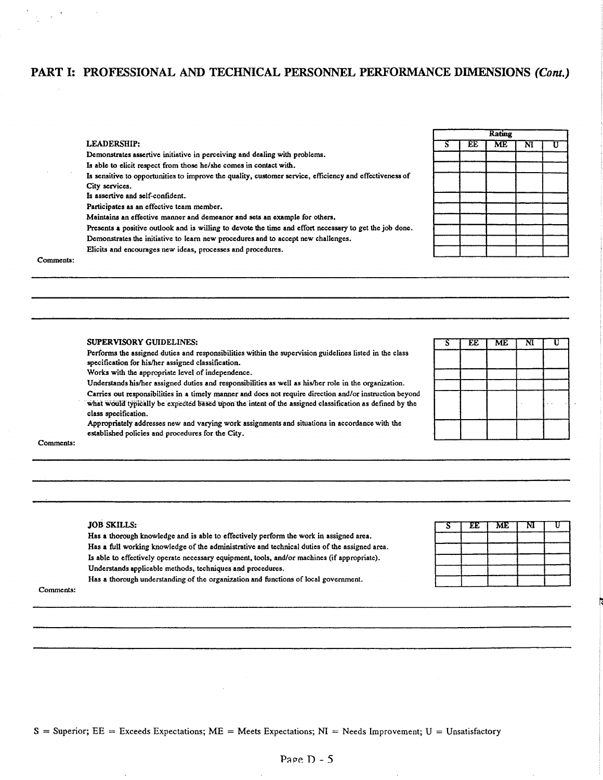## PART I: PROFESSIONAL AND TECHNICAL PERSONNEL PERFORMANCE DIMENSIONS (Cont.)

|   |    | <b>Rating</b> |                       |    |
|---|----|---------------|-----------------------|----|
| τ | EE | ME            | $\overline{\text{N}}$ | I٦ |
|   |    |               |                       |    |
|   |    |               |                       |    |
|   |    |               |                       |    |
|   |    |               |                       |    |
|   |    |               |                       |    |
|   |    |               |                       |    |
|   |    |               |                       |    |
|   |    |               |                       |    |
|   |    |               |                       |    |
|   |    |               |                       |    |

## Comments:

**SUPERVISORY GUIDELINES:** 

**LEADERSHIP:** 

City services.

Is assertive and self-confident.

Participates as an effective team member.

Performs the assigned duties and responsibilities within the supervision guidelines listed in the class specification for his/her assigned classification.

Is sensitive to opportunities to improve the quality, customer service, efficiency and effectiveness of

Presents a positive outlook and is willing to devote the time and effort necessary to get the job done.

Works with the appropriate level of independence.

Demonstrates assertive initiative in perceiving and dealing with problems. Is able to elicit respect from those he/she comes in contact with.

Maintains an effective manner and demeanor and sets an example for others.

Elicits and encourages new ideas, processes and procedures.

Demonstrates the initiative to learn new procedures and to accept new challenges.

Understands his/her assigned duties and responsibilities as well as his/her role in the organization.

Carries out responsibilities in a timely manner and does not require direction and/or instruction beyond what would typically be expected based upon the intent of the assigned classification as defined by the class specification.

Appropriately addresses new and varying work assignments and situations in accordance with the established policies and procedures for the City.

| Ŝ | EE | $\overline{\text{ME}}$ | $\overline{\text{N}}$ | n |
|---|----|------------------------|-----------------------|---|
|   |    |                        |                       |   |
|   |    |                        |                       |   |
|   |    |                        |                       |   |
|   |    |                        |                       |   |
|   |    |                        |                       |   |
|   |    |                        |                       |   |
|   |    |                        |                       |   |
|   |    |                        |                       |   |
|   |    |                        |                       |   |

Comments:

#### **JOB SKILLS:**

Has a thorough knowledge and is able to effectively perform the work in assigned area. Has a full working knowledge of the administrative and technical duties of the assigned area. Is able to effectively operate necessary equipment, tools, and/or machines (if appropriate). Understands applicable methods, techniques and procedures. Has a thorough understanding of the organization and functions of local government.

|  | EE   ME | M |  |
|--|---------|---|--|
|  |         |   |  |
|  |         |   |  |
|  |         |   |  |
|  |         |   |  |

Comments: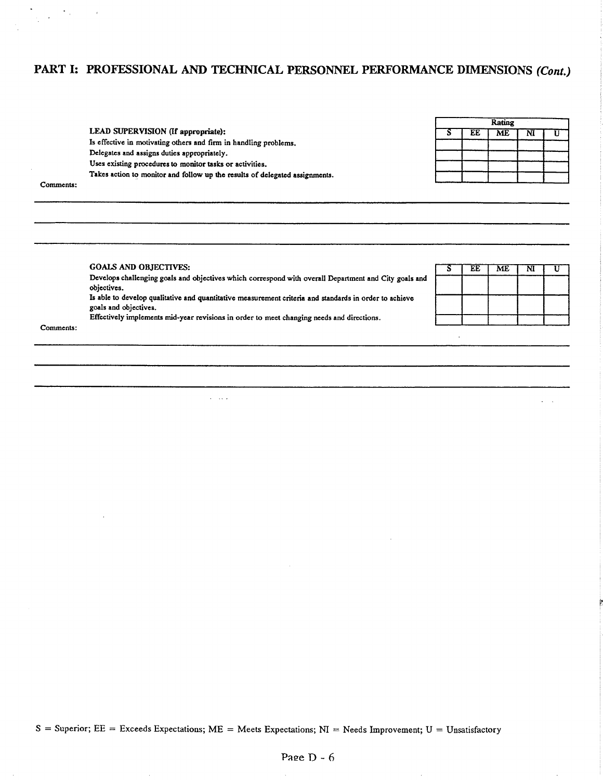## PART I: PROFESSIONAL AND TECHNICAL PERSONNEL PERFORMANCE DIMENSIONS (Cont.)

|                                                                             |    | Rating |    |  |
|-----------------------------------------------------------------------------|----|--------|----|--|
| LEAD SUPERVISION (If appropriate):                                          | EЕ | ME     | NI |  |
| Is effective in motivating others and firm in handling problems.            |    |        |    |  |
| Delegates and assigns duties appropriately.                                 |    |        |    |  |
| Uses existing procedures to monitor tasks or activities.                    |    |        |    |  |
| Takes action to monitor and follow up the results of delegated assignments. |    |        |    |  |
| Comments:                                                                   |    |        |    |  |

#### **GOALS AND OBJECTIVES:**

Develops challenging goals and objectives which correspond with overall Department and City goals and objectives. Is able to develop qualitative and quantitative measurement criteria and standards in order to achieve goals and objectives. Effectively implements mid-year revisions in order to meet changing needs and directions.

 $\omega = 1.7$   $\omega$ 

| EE | <b>ME</b> | NĪ |  |
|----|-----------|----|--|
|    |           |    |  |
|    |           |    |  |
|    |           |    |  |
|    |           |    |  |

Comments:

 $\sim 100$  $\sim$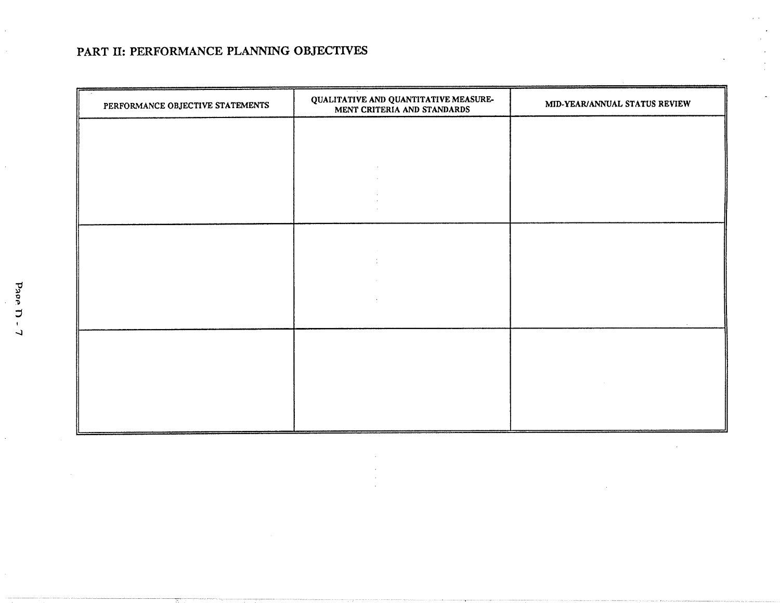## PART II: PERFORMANCE PLANNING OBJECTIVES

| PERFORMANCE OBJECTIVE STATEMENTS | QUALITATIVE AND QUANTITATIVE MEASUREMENT CRITERIA AND STANDARDS | MID-YEAR/ANNUAL STATUS REVIEW |
|----------------------------------|-----------------------------------------------------------------|-------------------------------|
|                                  |                                                                 |                               |
|                                  |                                                                 |                               |
|                                  |                                                                 |                               |
|                                  |                                                                 |                               |
|                                  |                                                                 |                               |
|                                  |                                                                 |                               |
|                                  |                                                                 |                               |
|                                  |                                                                 |                               |
|                                  |                                                                 |                               |
|                                  |                                                                 |                               |

Pape D-

 $\Delta$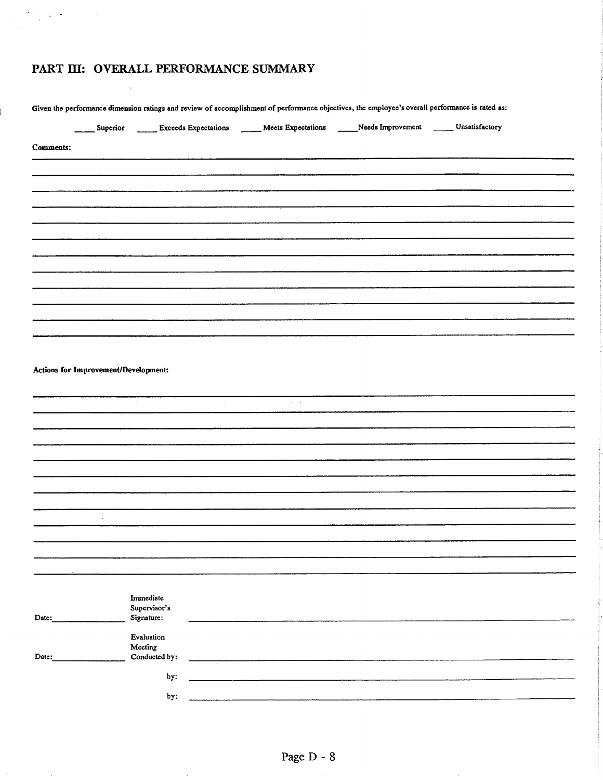# PART III: OVERALL PERFORMANCE SUMMARY

 $\bar{\gamma}$ 

 $\lambda$ 

İ.

 $\zeta \to \tilde{\zeta}$  $\bar{z}$ 

 $\sim$   $\sim$  $\mathcal{L}^{\mathcal{L}}(\mathcal{A})$  and  $\mathcal{L}^{\mathcal{L}}(\mathcal{A})$ 

 $\mathcal{L}$ 

|                  |                                      | Superior _______ Exceeds Expectations _______ Meets Expectations ______Needs Improvement _______ Unsatisfactory |                                                                                                                                                                                                                                      |  |
|------------------|--------------------------------------|-----------------------------------------------------------------------------------------------------------------|--------------------------------------------------------------------------------------------------------------------------------------------------------------------------------------------------------------------------------------|--|
| <b>Comments:</b> |                                      |                                                                                                                 |                                                                                                                                                                                                                                      |  |
|                  |                                      |                                                                                                                 |                                                                                                                                                                                                                                      |  |
|                  |                                      |                                                                                                                 |                                                                                                                                                                                                                                      |  |
|                  |                                      |                                                                                                                 |                                                                                                                                                                                                                                      |  |
|                  |                                      |                                                                                                                 |                                                                                                                                                                                                                                      |  |
|                  |                                      |                                                                                                                 |                                                                                                                                                                                                                                      |  |
|                  |                                      |                                                                                                                 |                                                                                                                                                                                                                                      |  |
|                  |                                      |                                                                                                                 |                                                                                                                                                                                                                                      |  |
|                  |                                      |                                                                                                                 |                                                                                                                                                                                                                                      |  |
|                  |                                      |                                                                                                                 |                                                                                                                                                                                                                                      |  |
|                  |                                      |                                                                                                                 |                                                                                                                                                                                                                                      |  |
|                  |                                      |                                                                                                                 |                                                                                                                                                                                                                                      |  |
|                  |                                      |                                                                                                                 |                                                                                                                                                                                                                                      |  |
|                  |                                      |                                                                                                                 |                                                                                                                                                                                                                                      |  |
|                  |                                      |                                                                                                                 |                                                                                                                                                                                                                                      |  |
|                  | Actions for Improvement/Development: |                                                                                                                 |                                                                                                                                                                                                                                      |  |
|                  |                                      |                                                                                                                 |                                                                                                                                                                                                                                      |  |
|                  |                                      |                                                                                                                 | $\alpha = 1$ , $\alpha$                                                                                                                                                                                                              |  |
|                  |                                      |                                                                                                                 |                                                                                                                                                                                                                                      |  |
|                  |                                      |                                                                                                                 |                                                                                                                                                                                                                                      |  |
|                  |                                      |                                                                                                                 |                                                                                                                                                                                                                                      |  |
|                  |                                      |                                                                                                                 |                                                                                                                                                                                                                                      |  |
|                  |                                      |                                                                                                                 |                                                                                                                                                                                                                                      |  |
|                  |                                      |                                                                                                                 |                                                                                                                                                                                                                                      |  |
|                  | $\ddot{\phantom{0}}$                 |                                                                                                                 |                                                                                                                                                                                                                                      |  |
|                  |                                      |                                                                                                                 |                                                                                                                                                                                                                                      |  |
|                  |                                      |                                                                                                                 |                                                                                                                                                                                                                                      |  |
|                  |                                      |                                                                                                                 |                                                                                                                                                                                                                                      |  |
|                  |                                      |                                                                                                                 |                                                                                                                                                                                                                                      |  |
|                  |                                      |                                                                                                                 |                                                                                                                                                                                                                                      |  |
|                  |                                      | Immediate<br>Supervisor's                                                                                       |                                                                                                                                                                                                                                      |  |
|                  |                                      | Signature:                                                                                                      |                                                                                                                                                                                                                                      |  |
|                  |                                      |                                                                                                                 |                                                                                                                                                                                                                                      |  |
| Date:            |                                      |                                                                                                                 |                                                                                                                                                                                                                                      |  |
|                  |                                      | Evaluation<br>Meeting                                                                                           |                                                                                                                                                                                                                                      |  |
| Date:            |                                      | Conducted by:                                                                                                   | <u> 1980 - Jan Barat, Amerikaansk politiker (</u>                                                                                                                                                                                    |  |
|                  |                                      | by:                                                                                                             | <u> - The Communication of the Communication of the Communication of the Communication of the Communication of the Communication of the Communication of the Communication of the Communication of the Communication of the Comm</u> |  |

 $\hat{\boldsymbol{\beta}}$